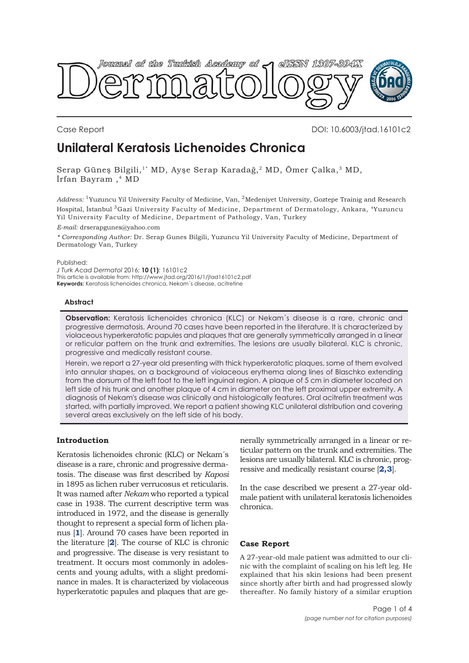

Case Report DOI: 10.6003/jtad.16101c2

# **Unilateral Keratosis Lichenoides Chronica**

Serap Güneş Bilgili,1\* MD, Ayşe Serap Karadağ,2 MD, Ömer Çalka,3 MD, İrfan Bayram ,4 MD

*Address:* 1Yuzuncu Yil University Faculty of Medicine, Van, 2Medeniyet University, Goztepe Trainig and Research Hospital, İstanbul 3Gazi University Faculty of Medicine, Department of Dermatology, Ankara, 4Yuzuncu Yil University Faculty of Medicine, Department of Pathology, Van, Turkey

*E-mail:* drserapgunes@yahoo.com

*\* Corresponding Author:* Dr. Serap Gunes Bilgili, Yuzuncu Yil University Faculty of Medicine, Department of Dermatology Van, Turkey

Published:

*J Turk Acad Dermatol* 2016; **10 (1)**: 16101c2 This article is available from: http://www.jtad.org/2016/1/jtad16101c2.pdf **Keywords:** Keratosis lichenoides chronica, Nekam´s disease, acitretine

## **Abstract**

**Observation:** Keratosis lichenoides chronica (KLC) or Nekam´s disease is a rare, chronic and progressive dermatosis. Around 70 cases have been reported in the literature. It is characterized by violaceous hyperkeratotic papules and plaques that are generally symmetrically arranged in a linear or reticular pattern on the trunk and extremities. The lesions are usually bilateral. KLC is chronic, progressive and medically resistant course.

Herein, we report a 27-year old presenting with thick hyperkeratotic plaques, some of them evolved into annular shapes, on a background of violaceous erythema along lines of Blaschko extending from the dorsum of the left foot to the left inguinal region. A plaque of 5 cm in diameter located on left side of his trunk and another plaque of 4 cm in diameter on the left proximal upper extremity. A diagnosis of Nekam's disease was clinically and histologically features. Oral acitretin treatment was started, with partially improved. We report a patient showing KLC unilateral distribution and covering several areas exclusively on the left side of his body.

# **Introduction**

Keratosis lichenoides chronic (KLC) or Nekam´s disease is a rare, chronic and progressive dermatosis. The disease was first described by *Kaposi* in 1895 as lichen ruber verrucosus et reticularis. It was named after *Nekam* who reported a typical case in 1938. The current descriptive term was introduced in 1972, and the disease is generally thought to represent a special form of lichen planus [**[1](#page-2-0)**]. Around 70 cases have been reported in the literature [**[2](#page-2-0)**]. The course of KLC is chronic and progressive. The disease is very resistant to treatment. It occurs most commonly in adolescents and young adults, with a slight predominance in males. It is characterized by violaceous hyperkeratotic papules and plaques that are ge-

nerally symmetrically arranged in a linear or reticular pattern on the trunk and extremities. The lesions are usually bilateral. KLC is chronic, progressive and medically resistant course [**[2, 3](#page-2-0)**].

In the case described we present a 27-year oldmale patient with unilateral keratosis lichenoides chronica.

## **Case Report**

A 27-year-old male patient was admitted to our clinic with the complaint of scaling on his left leg. He explained that his skin lesions had been present since shortly after birth and had progressed slowly thereafter. No family history of a similar eruption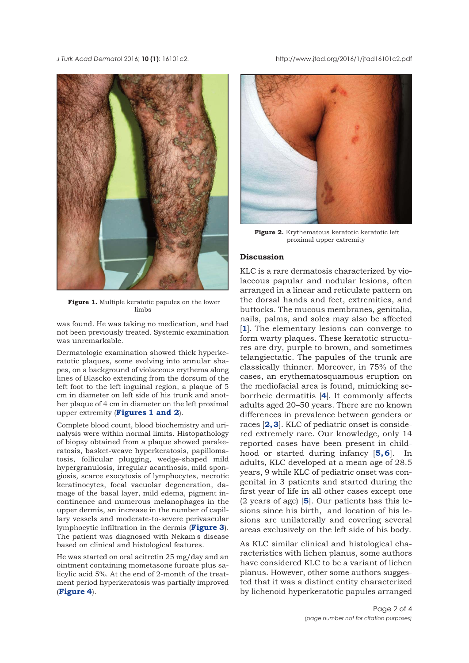*J Turk Acad Dermato*l 2016; **10 (1)**: 16101c2. http://www.jtad.org/2016/1/jtad16101c2.pdf



**Figure 1.** Multiple keratotic papules on the lower limbs

was found. He was taking no medication, and had not been previously treated. Systemic examination was unremarkable.

Dermatologic examination showed thick hyperkeratotic plaques, some evolving into annular shapes, on a background of violaceous erythema along lines of Blascko extending from the dorsum of the left foot to the left inguinal region, a plaque of 5 cm in diameter on left side of his trunk and another plaque of 4 cm in diameter on the left proximal upper extremity (**Figures 1 and 2**).

Complete blood count, blood biochemistry and urinalysis were within normal limits. Histopathology of biopsy obtained from a plaque showed parakeratosis, basket-weave hyperkeratosis, papillomatosis, follicular plugging, wedge-shaped mild hypergranulosis, irregular acanthosis, mild spongiosis, scarce exocytosis of lymphocytes, necrotic keratinocytes, focal vacuolar degeneration, damage of the basal layer, mild edema, pigment incontinence and numerous melanophages in the upper dermis, an increase in the number of capillary vessels and moderate-to-severe perivascular lymphocytic infiltration in the dermis (**[Figure 3](#page-2-0)**). The patient was diagnosed with Nekam's disease based on clinical and histological features.

He was started on oral acitretin 25 mg/day and an ointment containing mometasone furoate plus salicylic acid 5%. At the end of 2-month of the treatment period hyperkeratosis was partially improved (**[Figure 4](#page-2-0)**).



**Figure 2.** Erythematous keratotic keratotic left proximal upper extremity

## **Discussion**

KLC is a rare dermatosis characterized by violaceous papular and nodular lesions, often arranged in a linear and reticulate pattern on the dorsal hands and feet, extremities, and buttocks. The mucous membranes, genitalia, nails, palms, and soles may also be affected [**[1](#page-3-0)**]. The elementary lesions can converge to form warty plaques. These keratotic structures are dry, purple to brown, and sometimes telangiectatic. The papules of the trunk are classically thinner. Moreover, in 75% of the cases, an erythematosquamous eruption on the mediofacial area is found, mimicking seborrheic dermatitis [**[4](#page-3-0)**]. It commonly affects adults aged 20–50 years. There are no known differences in prevalence between genders or races [**[2,](#page-2-0) [3](#page-3-0)**]. KLC of pediatric onset is considered extremely rare. Our knowledge, only 14 reported cases have been present in childhood or started during infancy [**[5, 6](#page-3-0)**]. In adults, KLC developed at a mean age of 28.5 years, 9 while KLC of pediatric onset was congenital in 3 patients and started during the first year of life in all other cases except one (2 years of age) [**[5](#page-3-0)**]. Our patients has this lesions since his birth, and location of his lesions are unilaterally and covering several areas exclusively on the left side of his body.

As KLC similar clinical and histological characteristics with lichen planus, some authors have considered KLC to be a variant of lichen planus. However, other some authors suggested that it was a distinct entity characterized by lichenoid hyperkeratotic papules arranged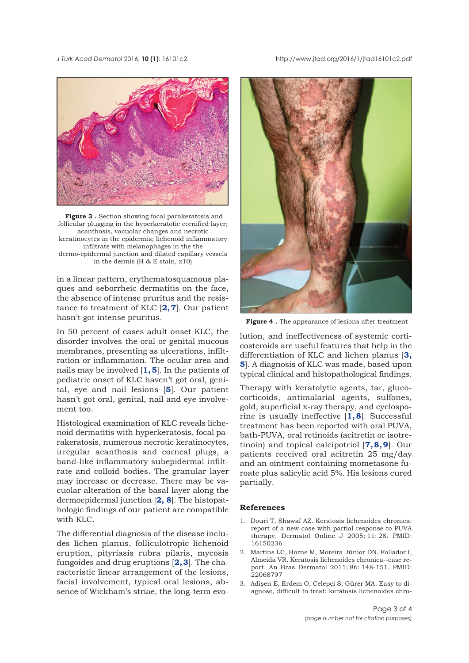### <span id="page-2-0"></span>*J Turk Acad Dermato*l 2016; **10 (1)**: 16101c2. http://www.jtad.org/2016/1/jtad16101c2.pdf



**Figure 3 .** Section showing focal parakeratosis and follicular plugging in the hyperkeratotic cornified layer; acanthosis, vacuolar changes and necrotic keratinocytes in the epidermis; lichenoid inflammatory infiltrate with melanophages in the the dermo-epidermal junction and dilated capillary vessels in the dermis (H & E stain, x10)

in a linear pattern, erythematosquamous plaques and seborrheic dermatitis on the face, the absence of intense pruritus and the resistance to treatment of KLC [**[2, 7](#page-3-0)**]. Our patient hasn't got intense pruritus.

In 50 percent of cases adult onset KLC, the disorder involves the oral or genital mucous membranes, presenting as ulcerations, infiltration or inflammation. The ocular area and nails may be involved [**1, [5](#page-3-0)**]. In the patients of pediatric onset of KLC haven't got oral, genital, eye and nail lesions [**[5](#page-3-0)**]. Our patient hasn't got oral, genital, nail and eye involvement too.

Histological examination of KLC reveals lichenoid dermatitis with hyperkeratosis, focal parakeratosis, numerous necrotic keratinocytes, irregular acanthosis and corneal plugs, a band-like inflammatory subepidermal infiltrate and colloid bodies. The granular layer may increase or decrease. There may be vacuolar alteration of the basal layer along the dermoepidermal junction [**2, [8](#page-3-0)**]. The histopathologic findings of our patient are compatible with KLC.

The differential diagnosis of the disease includes lichen planus, folliculotropic lichenoid eruption, pityriasis rubra pilaris, mycosis fungoides and drug eruptions [**2, 3**]. The characteristic linear arrangement of the lesions, facial involvement, typical oral lesions, absence of Wickham's striae, the long-term evo-



**Figure 4 .** The appearance of lesions after treatment

lution, and ineffectiveness of systemic corticosteroids are useful features that help in the differentiation of KLC and lichen planus [**3, [5](#page-3-0)**]. A diagnosis of KLC was made, based upon typical clinical and histopathological findings.

Therapy with keratolytic agents, tar, glucocorticoids, antimalarial agents, sulfones, gold, superficial x-ray therapy, and cyclosporine is usually ineffective [**1, [8](#page-3-0)**]. Successful treatment has been reported with oral PUVA, bath-PUVA, oral retinoids (acitretin or isotretinoin) and topical calcipotriol [**[7, 8, 9](#page-3-0)**]. Our patients received oral acitretin 25 mg/day and an ointment containing mometasone furoate plus salicylic acid 5%. His lesions cured partially.

### **References**

- 1. Douri T, Shawaf AZ. Keratosis lichenoides chronica: report of a new case with partial response to PUVA therapy. Dermatol Online J 2005; 11: 28. PMID: 16150236
- 2. Martins LC, Horne M, Moreira Júnior DN, Follador I, Almeida VR. Keratosis lichenoides chronica--case report. An Bras Dermatol 2011; 86: 148-151. PMID: 22068797
- 3. Adişen E, Erdem O, Celepçi S, Gürer MA. Easy to diagnose, difficult to treat: keratosis lichenoides chro-